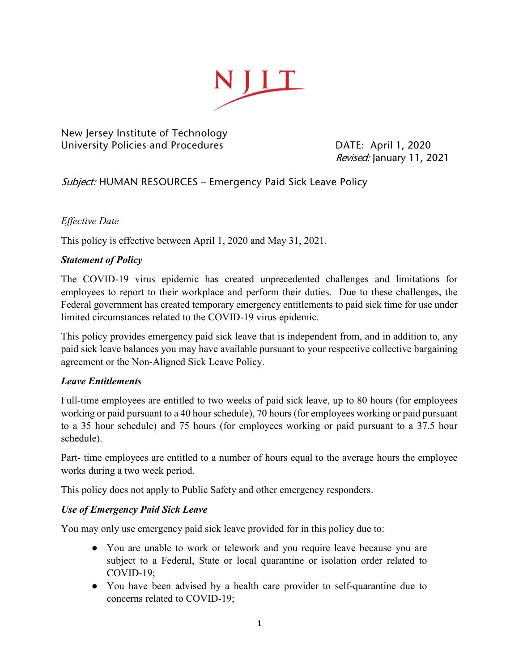

New Jersey Institute of Technology University Policies and Procedures **DATE: April 1, 2020** 

Revised: January 11, 2021

# Subject: HUMAN RESOURCES - Emergency Paid Sick Leave Policy

## *Effective Date*

This policy is effective between April 1, 2020 and May 31, 2021.

## *Statement of Policy*

The COVID-19 virus epidemic has created unprecedented challenges and limitations for employees to report to their workplace and perform their duties. Due to these challenges, the Federal government has created temporary emergency entitlements to paid sick time for use under limited circumstances related to the COVID-19 virus epidemic.

This policy provides emergency paid sick leave that is independent from, and in addition to, any paid sick leave balances you may have available pursuant to your respective collective bargaining agreement or the Non-Aligned Sick Leave Policy.

### *Leave Entitlements*

Full-time employees are entitled to two weeks of paid sick leave, up to 80 hours (for employees working or paid pursuant to a 40 hour schedule), 70 hours (for employees working or paid pursuant to a 35 hour schedule) and 75 hours (for employees working or paid pursuant to a 37.5 hour schedule).

Part- time employees are entitled to a number of hours equal to the average hours the employee works during a two week period.

This policy does not apply to Public Safety and other emergency responders.

### *Use of Emergency Paid Sick Leave*

You may only use emergency paid sick leave provided for in this policy due to:

- You are unable to work or telework and you require leave because you are subject to a Federal, State or local quarantine or isolation order related to COVID-19;
- You have been advised by a health care provider to self-quarantine due to concerns related to COVID-19;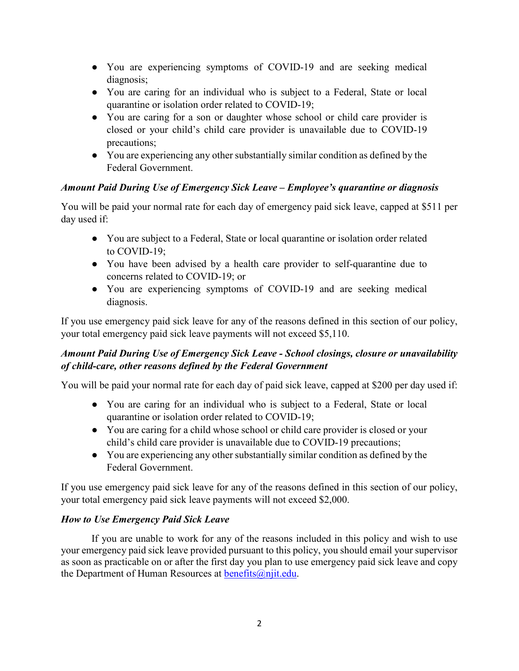- You are experiencing symptoms of COVID-19 and are seeking medical diagnosis;
- You are caring for an individual who is subject to a Federal, State or local quarantine or isolation order related to COVID-19;
- You are caring for a son or daughter whose school or child care provider is closed or your child's child care provider is unavailable due to COVID-19 precautions;
- You are experiencing any other substantially similar condition as defined by the Federal Government.

# *Amount Paid During Use of Emergency Sick Leave – Employee's quarantine or diagnosis*

You will be paid your normal rate for each day of emergency paid sick leave, capped at \$511 per day used if:

- You are subject to a Federal, State or local quarantine or isolation order related to COVID-19;
- You have been advised by a health care provider to self-quarantine due to concerns related to COVID-19; or
- You are experiencing symptoms of COVID-19 and are seeking medical diagnosis.

If you use emergency paid sick leave for any of the reasons defined in this section of our policy, your total emergency paid sick leave payments will not exceed \$5,110.

# *Amount Paid During Use of Emergency Sick Leave - School closings, closure or unavailability of child-care, other reasons defined by the Federal Government*

You will be paid your normal rate for each day of paid sick leave, capped at \$200 per day used if:

- You are caring for an individual who is subject to a Federal, State or local quarantine or isolation order related to COVID-19;
- You are caring for a child whose school or child care provider is closed or your child's child care provider is unavailable due to COVID-19 precautions;
- You are experiencing any other substantially similar condition as defined by the Federal Government.

If you use emergency paid sick leave for any of the reasons defined in this section of our policy, your total emergency paid sick leave payments will not exceed \$2,000.

# *How to Use Emergency Paid Sick Leave*

If you are unable to work for any of the reasons included in this policy and wish to use your emergency paid sick leave provided pursuant to this policy, you should email your supervisor as soon as practicable on or after the first day you plan to use emergency paid sick leave and copy the Department of Human Resources at [benefits@njit.edu.](mailto:benefits@njit.edu)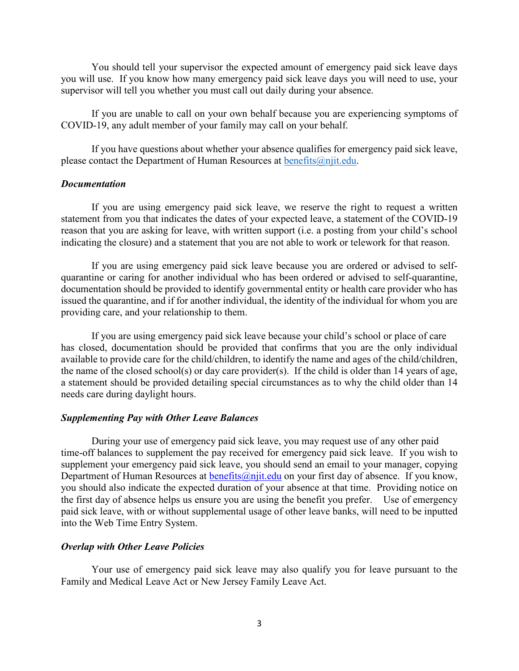You should tell your supervisor the expected amount of emergency paid sick leave days you will use. If you know how many emergency paid sick leave days you will need to use, your supervisor will tell you whether you must call out daily during your absence.

If you are unable to call on your own behalf because you are experiencing symptoms of COVID-19, any adult member of your family may call on your behalf.

If you have questions about whether your absence qualifies for emergency paid sick leave, please contact the Department of Human Resources at [benefits@njit.edu.](mailto:sandra.matosdias@njit.edu)

#### *Documentation*

If you are using emergency paid sick leave, we reserve the right to request a written statement from you that indicates the dates of your expected leave, a statement of the COVID-19 reason that you are asking for leave, with written support (i.e. a posting from your child's school indicating the closure) and a statement that you are not able to work or telework for that reason.

If you are using emergency paid sick leave because you are ordered or advised to selfquarantine or caring for another individual who has been ordered or advised to self-quarantine, documentation should be provided to identify governmental entity or health care provider who has issued the quarantine, and if for another individual, the identity of the individual for whom you are providing care, and your relationship to them.

If you are using emergency paid sick leave because your child's school or place of care has closed, documentation should be provided that confirms that you are the only individual available to provide care for the child/children, to identify the name and ages of the child/children, the name of the closed school(s) or day care provider(s). If the child is older than 14 years of age, a statement should be provided detailing special circumstances as to why the child older than 14 needs care during daylight hours.

#### *Supplementing Pay with Other Leave Balances*

During your use of emergency paid sick leave, you may request use of any other paid time-off balances to supplement the pay received for emergency paid sick leave. If you wish to supplement your emergency paid sick leave, you should send an email to your manager, copying Department of Human Resources at benefits  $\omega$ njit.edu on your first day of absence. If you know, you should also indicate the expected duration of your absence at that time. Providing notice on the first day of absence helps us ensure you are using the benefit you prefer. Use of emergency paid sick leave, with or without supplemental usage of other leave banks, will need to be inputted into the Web Time Entry System.

#### *Overlap with Other Leave Policies*

Your use of emergency paid sick leave may also qualify you for leave pursuant to the Family and Medical Leave Act or New Jersey Family Leave Act.